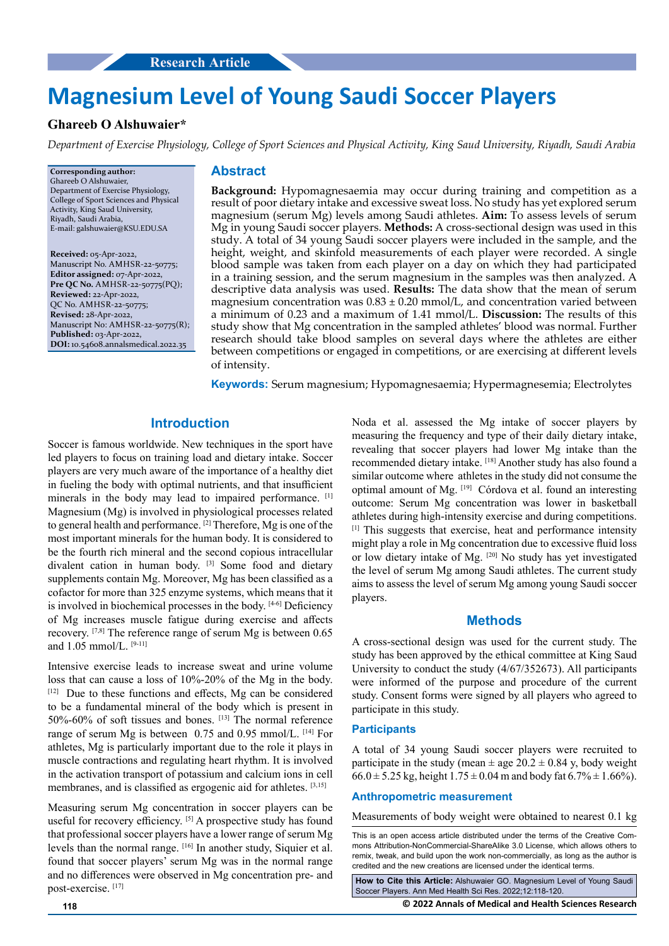# **Magnesium Level of Young Saudi Soccer Players**

# **Ghareeb O Alshuwaier\***

*Department of Exercise Physiology, College of Sport Sciences and Physical Activity, King Saud University, Riyadh, Saudi Arabia*

**Corresponding author:** Ghareeb O Alshuwaier, Department of Exercise Physiology, College of Sport Sciences and Physical Activity, King Saud University, Riyadh, Saudi Arabia, E-mail: galshuwaier@KSU.EDU.SA

**Received:** 05-Apr-2022, Manuscript No. AMHSR-22-50775; **Editor assigned:** 07-Apr-2022, **Pre QC No.** AMHSR-22-50775(PQ); **Reviewed:** 22-Apr-2022, QC No. AMHSR-22-50775; **Revised:** 28-Apr-2022, Manuscript No: AMHSR-22-50775(R); **Published:** 03-Apr-2022, **DOI:** 10.54608.annalsmedical.2022.35

#### **Abstract**

**Background:** Hypomagnesaemia may occur during training and competition as a result of poor dietary intake and excessive sweat loss. No study has yet explored serum magnesium (serum Mg) levels among Saudi athletes. **Aim:** To assess levels of serum Mg in young Saudi soccer players. **Methods:** A cross-sectional design was used in this study. A total of 34 young Saudi soccer players were included in the sample, and the height, weight, and skinfold measurements of each player were recorded. A single blood sample was taken from each player on a day on which they had participated in a training session, and the serum magnesium in the samples was then analyzed. A descriptive data analysis was used. **Results:** The data show that the mean of serum magnesium concentration was  $0.83 \pm 0.20$  mmol/L, and concentration varied between a minimum of 0.23 and a maximum of 1.41 mmol/L. **Discussion:** The results of this study show that Mg concentration in the sampled athletes' blood was normal. Further research should take blood samples on several days where the athletes are either between competitions or engaged in competitions, or are exercising at different levels of intensity.

**Keywords:** Serum magnesium; Hypomagnesaemia; Hypermagnesemia; Electrolytes

# **Introduction**

Soccer is famous worldwide. New techniques in the sport have led players to focus on training load and dietary intake. Soccer players are very much aware of the importance of a healthy diet in fueling the body with optimal nutrients, and that insufficient minerals in the body may lead to impaired performance. [1] Magnesium (Mg) is involved in physiological processes related to general health and performance. [2] Therefore, Mg is one of the most important minerals for the human body. It is considered to be the fourth rich mineral and the second copious intracellular divalent cation in human body. [3] Some food and dietary supplements contain Mg. Moreover, Mg has been classified as a cofactor for more than 325 enzyme systems, which means that it is involved in biochemical processes in the body. [4-6] Deficiency of Mg increases muscle fatigue during exercise and affects recovery. [7,8] The reference range of serum Mg is between 0.65 and 1.05 mmol/L. [9-11]

Intensive exercise leads to increase sweat and urine volume loss that can cause a loss of 10%-20% of the Mg in the body. [12] Due to these functions and effects, Mg can be considered to be a fundamental mineral of the body which is present in 50%-60% of soft tissues and bones. [13] The normal reference range of serum Mg is between 0.75 and 0.95 mmol/L. [14] For athletes, Mg is particularly important due to the role it plays in muscle contractions and regulating heart rhythm. It is involved in the activation transport of potassium and calcium ions in cell membranes, and is classified as ergogenic aid for athletes. [3,15]

Measuring serum Mg concentration in soccer players can be useful for recovery efficiency. [5] A prospective study has found that professional soccer players have a lower range of serum Mg levels than the normal range. [16] In another study, Siquier et al. found that soccer players' serum Mg was in the normal range and no differences were observed in Mg concentration pre- and post-exercise. [17]

Noda et al. assessed the Mg intake of soccer players by measuring the frequency and type of their daily dietary intake, revealing that soccer players had lower Mg intake than the recommended dietary intake. [18] Another study has also found a similar outcome where athletes in the study did not consume the optimal amount of Mg. [19] Córdova et al. found an interesting outcome: Serum Mg concentration was lower in basketball athletes during high-intensity exercise and during competitions. [1] This suggests that exercise, heat and performance intensity might play a role in Mg concentration due to excessive fluid loss or low dietary intake of Mg. [20] No study has yet investigated the level of serum Mg among Saudi athletes. The current study aims to assess the level of serum Mg among young Saudi soccer players.

### **Methods**

A cross-sectional design was used for the current study. The study has been approved by the ethical committee at King Saud University to conduct the study (4/67/352673). All participants were informed of the purpose and procedure of the current study. Consent forms were signed by all players who agreed to participate in this study.

#### **Participants**

A total of 34 young Saudi soccer players were recruited to participate in the study (mean  $\pm$  age 20.2  $\pm$  0.84 y, body weight  $66.0 \pm 5.25$  kg, height  $1.75 \pm 0.04$  m and body fat  $6.7\% \pm 1.66\%$ ).

#### **Anthropometric measurement**

Measurements of body weight were obtained to nearest 0.1 kg

This is an open access article distributed under the terms of the Creative Commons Attribution-NonCommercial-ShareAlike 3.0 License, which allows others to remix, tweak, and build upon the work non‑commercially, as long as the author is credited and the new creations are licensed under the identical terms.

**How to Cite this Article:** Alshuwaier GO. Magnesium Level of Young Saudi Soccer Players. Ann Med Health Sci Res. 2022;12:118-120.

**118 © 2022 Annals of Medical and Health Sciences Research**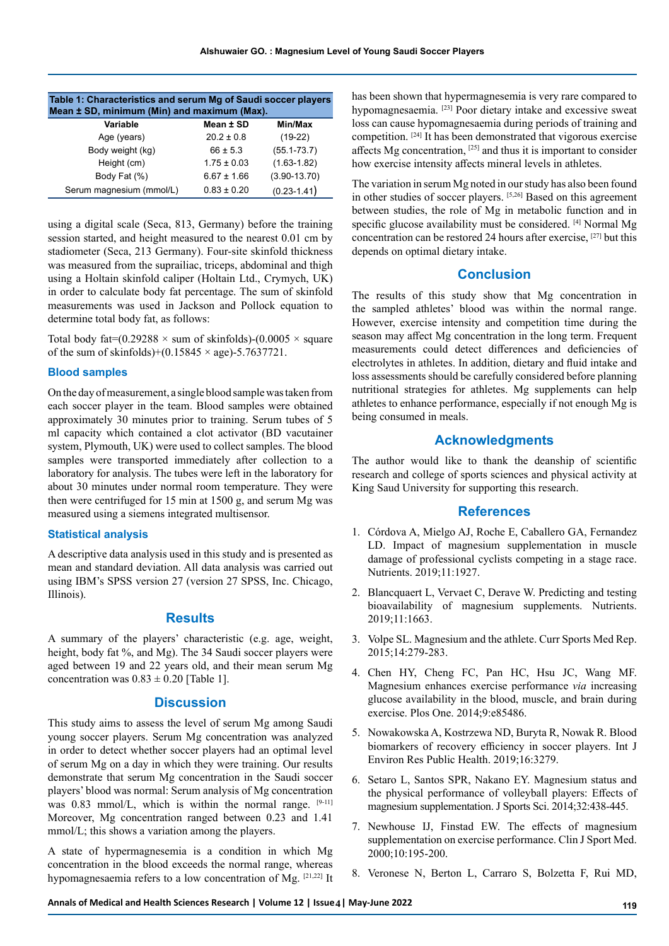| Table 1: Characteristics and serum Mg of Saudi soccer players<br>Mean ± SD, minimum (Min) and maximum (Max). |                 |                  |
|--------------------------------------------------------------------------------------------------------------|-----------------|------------------|
| Variable                                                                                                     | Mean ± SD       | Min/Max          |
| Age (years)                                                                                                  | $20.2 \pm 0.8$  | $(19-22)$        |
| Body weight (kg)                                                                                             | $66 \pm 5.3$    | $(55.1 - 73.7)$  |
| Height (cm)                                                                                                  | $1.75 \pm 0.03$ | $(1.63 - 1.82)$  |
| Body Fat (%)                                                                                                 | $6.67 \pm 1.66$ | $(3.90 - 13.70)$ |
| Serum magnesium (mmol/L)                                                                                     | $0.83 \pm 0.20$ | $(0.23 - 1.41)$  |

using a digital scale (Seca, 813, Germany) before the training session started, and height measured to the nearest 0.01 cm by stadiometer (Seca, 213 Germany). Four-site skinfold thickness was measured from the suprailiac, triceps, abdominal and thigh using a Holtain skinfold caliper (Holtain Ltd., Crymych, UK) in order to calculate body fat percentage. The sum of skinfold measurements was used in Jackson and Pollock equation to determine total body fat, as follows:

Total body fat= $(0.29288 \times \text{sum of skinfolds})$ - $(0.0005 \times \text{square})$ of the sum of skinfolds)+(0.15845  $\times$  age)-5.7637721.

#### **Blood samples**

On the day of measurement, a single blood sample was taken from each soccer player in the team. Blood samples were obtained approximately 30 minutes prior to training. Serum tubes of 5 ml capacity which contained a clot activator (BD vacutainer system, Plymouth, UK) were used to collect samples. The blood samples were transported immediately after collection to a laboratory for analysis. The tubes were left in the laboratory for about 30 minutes under normal room temperature. They were then were centrifuged for 15 min at 1500 g, and serum Mg was measured using a siemens integrated multisensor.

### **Statistical analysis**

A descriptive data analysis used in this study and is presented as mean and standard deviation. All data analysis was carried out using IBM's SPSS version 27 (version 27 SPSS, Inc. Chicago, Illinois).

## **Results**

A summary of the players' characteristic (e.g. age, weight, height, body fat %, and Mg). The 34 Saudi soccer players were aged between 19 and 22 years old, and their mean serum Mg concentration was  $0.83 \pm 0.20$  [Table 1].

#### **Discussion**

This study aims to assess the level of serum Mg among Saudi young soccer players. Serum Mg concentration was analyzed in order to detect whether soccer players had an optimal level of serum Mg on a day in which they were training. Our results demonstrate that serum Mg concentration in the Saudi soccer players' blood was normal: Serum analysis of Mg concentration was  $0.83$  mmol/L, which is within the normal range.  $[9-11]$ Moreover, Mg concentration ranged between 0.23 and 1.41 mmol/L; this shows a variation among the players.

A state of hypermagnesemia is a condition in which Mg concentration in the blood exceeds the normal range, whereas hypomagnesaemia refers to a low concentration of Mg. [21,22] It has been shown that hypermagnesemia is very rare compared to hypomagnesaemia. [23] Poor dietary intake and excessive sweat loss can cause hypomagnesaemia during periods of training and competition. [24] It has been demonstrated that vigorous exercise affects Mg concentration, [25] and thus it is important to consider how exercise intensity affects mineral levels in athletes.

The variation in serum Mg noted in our study has also been found in other studies of soccer players. [5,26] Based on this agreement between studies, the role of Mg in metabolic function and in specific glucose availability must be considered. [4] Normal Mg concentration can be restored 24 hours after exercise, [27] but this depends on optimal dietary intake.

## **Conclusion**

The results of this study show that Mg concentration in the sampled athletes' blood was within the normal range. However, exercise intensity and competition time during the season may affect Mg concentration in the long term. Frequent measurements could detect differences and deficiencies of electrolytes in athletes. In addition, dietary and fluid intake and loss assessments should be carefully considered before planning nutritional strategies for athletes. Mg supplements can help athletes to enhance performance, especially if not enough Mg is being consumed in meals.

# **Acknowledgments**

The author would like to thank the deanship of scientific research and college of sports sciences and physical activity at King Saud University for supporting this research.

## **References**

- 1. Córdova A, Mielgo AJ, Roche E, Caballero GA, Fernandez LD. [Impact of magnesium supplementation in muscle](https://www.mdpi.com/2072-6643/11/8/1927)  [damage of professional cyclists competing in a stage race.](https://www.mdpi.com/2072-6643/11/8/1927) Nutrients. 2019;11:1927.
- 2. Blancquaert L, Vervaet C, Derave W. [Predicting and testing](https://www.mdpi.com/2072-6643/11/7/1663)  [bioavailability of magnesium supplements.](https://www.mdpi.com/2072-6643/11/7/1663) Nutrients. 2019;11:1663.
- 3. Volpe SL. [Magnesium and the athlete.](https://journals.lww.com/acsm-csmr/Fulltext/2015/07000/Magnesium_and_the_Athlete.8.aspx) Curr Sports Med Rep. 2015;14:279-283.
- 4. Chen HY, Cheng FC, Pan HC, Hsu JC, Wang MF. [Magnesium enhances exercise performance](https://journals.plos.org/plosone/article?id=10.1371/journal.pone.0085486) *via* increasing [glucose availability in the blood, muscle, and brain during](https://journals.plos.org/plosone/article?id=10.1371/journal.pone.0085486)  [exercise.](https://journals.plos.org/plosone/article?id=10.1371/journal.pone.0085486) Plos One. 2014;9:e85486.
- 5. Nowakowska A, Kostrzewa ND, Buryta R, Nowak R. [Blood](https://www.mdpi.com/1660-4601/16/18/3279)  [biomarkers of recovery efficiency in soccer players.](https://www.mdpi.com/1660-4601/16/18/3279) Int J Environ Res Public Health. 2019;16:3279.
- 6. Setaro L, Santos SPR, Nakano EY. [Magnesium status and](https://www.tandfonline.com/doi/abs/10.1080/02640414.2013.828847)  [the physical performance of volleyball players: Effects of](https://www.tandfonline.com/doi/abs/10.1080/02640414.2013.828847)  [magnesium supplementation.](https://www.tandfonline.com/doi/abs/10.1080/02640414.2013.828847) J Sports Sci. 2014;32:438-445.
- 7. Newhouse IJ, Finstad EW. [The effects of magnesium](https://journals.lww.com/cjsportsmed/Abstract/2000/07000/The_Effects_of_Magnesium_Supplementation_on.8.aspx)  [supplementation on exercise performance.](https://journals.lww.com/cjsportsmed/Abstract/2000/07000/The_Effects_of_Magnesium_Supplementation_on.8.aspx) Clin J Sport Med. 2000;10:195-200.
- 8. Veronese N, Berton L, Carraro S, Bolzetta F, Rui MD,